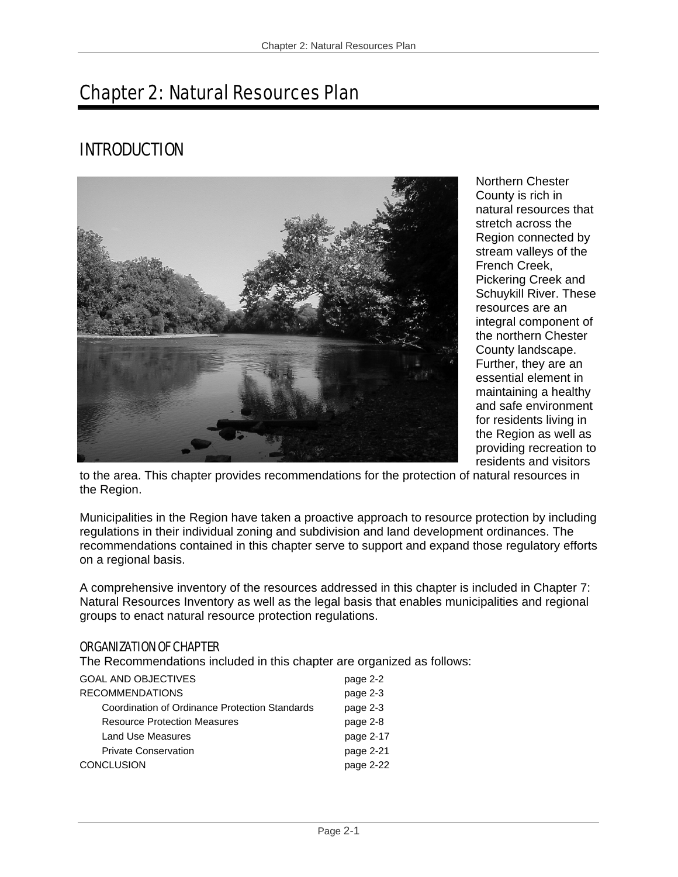# Chapter 2: Natural Resources Plan

# INTRODUCTION



Northern Chester County is rich in natural resources that stretch across the Region connected by stream valleys of the French Creek, Pickering Creek and Schuykill River. These resources are an integral component of the northern Chester County landscape. Further, they are an essential element in maintaining a healthy and safe environment for residents living in the Region as well as providing recreation to residents and visitors

to the area. This chapter provides recommendations for the protection of natural resources in the Region.

Municipalities in the Region have taken a proactive approach to resource protection by including regulations in their individual zoning and subdivision and land development ordinances. The recommendations contained in this chapter serve to support and expand those regulatory efforts on a regional basis.

A comprehensive inventory of the resources addressed in this chapter is included in Chapter 7: Natural Resources Inventory as well as the legal basis that enables municipalities and regional groups to enact natural resource protection regulations.

#### ORGANIZATION OF CHAPTER

The Recommendations included in this chapter are organized as follows:

| <b>GOAL AND OBJECTIVES</b>                     | page 2-2  |
|------------------------------------------------|-----------|
| <b>RECOMMENDATIONS</b>                         | page 2-3  |
| Coordination of Ordinance Protection Standards | page 2-3  |
| <b>Resource Protection Measures</b>            | page 2-8  |
| Land Use Measures                              | page 2-17 |
| <b>Private Conservation</b>                    | page 2-21 |
| <b>CONCLUSION</b>                              | page 2-22 |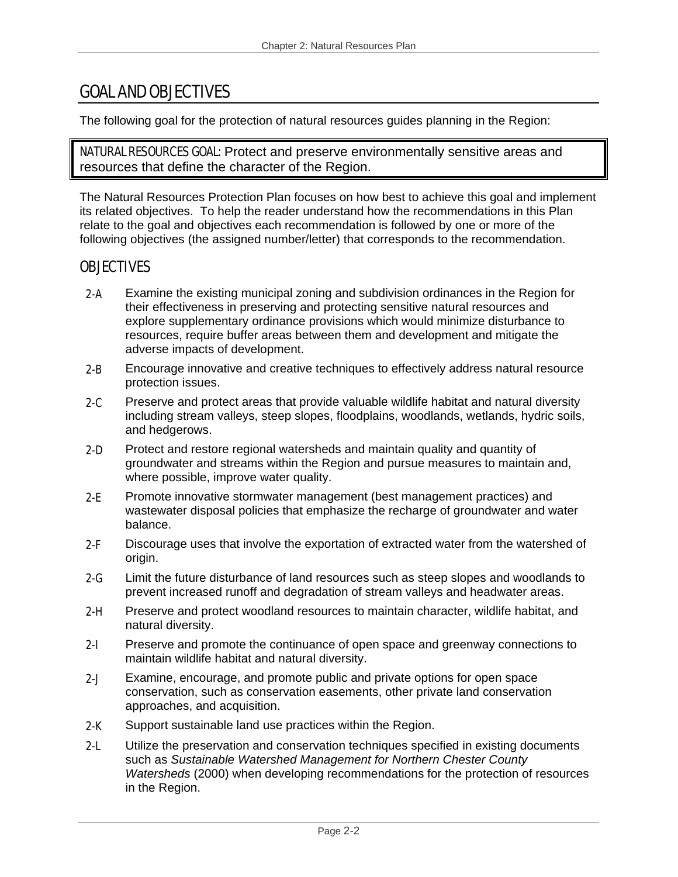# GOAL AND OBJECTIVES

The following goal for the protection of natural resources guides planning in the Region:

**NATURAL RESOURCES GOAL:** Protect and preserve environmentally sensitive areas and resources that define the character of the Region.

The Natural Resources Protection Plan focuses on how best to achieve this goal and implement its related objectives. To help the reader understand how the recommendations in this Plan relate to the goal and objectives each recommendation is followed by one or more of the following objectives (the assigned number/letter) that corresponds to the recommendation.

# **OBJECTIVES**

- 2-A Examine the existing municipal zoning and subdivision ordinances in the Region for their effectiveness in preserving and protecting sensitive natural resources and explore supplementary ordinance provisions which would minimize disturbance to resources, require buffer areas between them and development and mitigate the adverse impacts of development.
- 2-B Encourage innovative and creative techniques to effectively address natural resource protection issues.
- 2-C Preserve and protect areas that provide valuable wildlife habitat and natural diversity including stream valleys, steep slopes, floodplains, woodlands, wetlands, hydric soils, and hedgerows.
- 2-D Protect and restore regional watersheds and maintain quality and quantity of groundwater and streams within the Region and pursue measures to maintain and, where possible, improve water quality.
- 2-E Promote innovative stormwater management (best management practices) and wastewater disposal policies that emphasize the recharge of groundwater and water balance.
- 2-F Discourage uses that involve the exportation of extracted water from the watershed of origin.
- 2-G Limit the future disturbance of land resources such as steep slopes and woodlands to prevent increased runoff and degradation of stream valleys and headwater areas.
- 2-H Preserve and protect woodland resources to maintain character, wildlife habitat, and natural diversity.
- 2-I Preserve and promote the continuance of open space and greenway connections to maintain wildlife habitat and natural diversity.
- 2-J Examine, encourage, and promote public and private options for open space conservation, such as conservation easements, other private land conservation approaches, and acquisition.
- 2-K Support sustainable land use practices within the Region.
- **2-L** Utilize the preservation and conservation techniques specified in existing documents such as *Sustainable Watershed Management for Northern Chester County Watersheds* (2000) when developing recommendations for the protection of resources in the Region.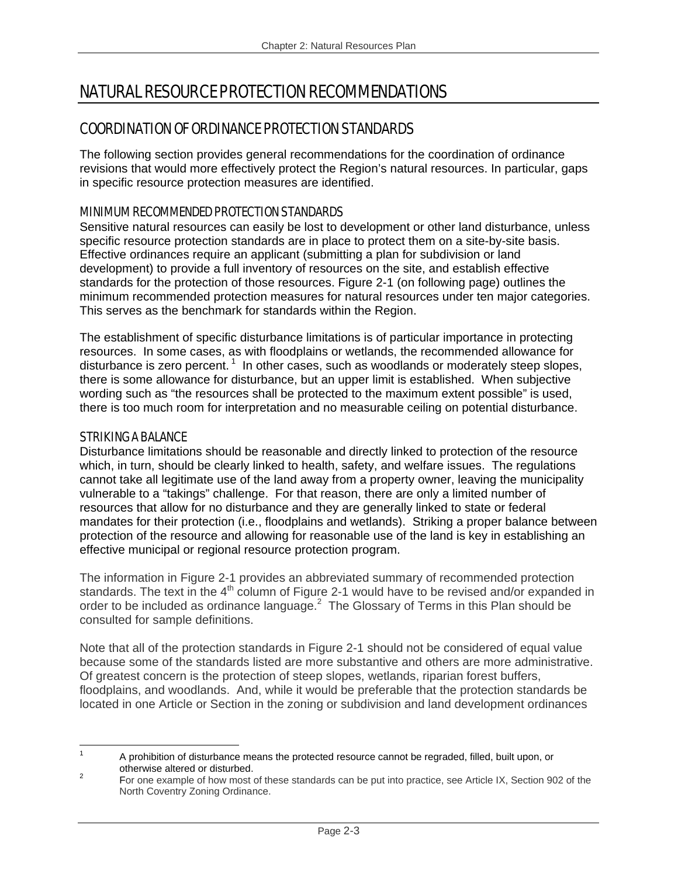# NATURAL RESOURCE PROTECTION RECOMMENDATIONS

# COORDINATION OF ORDINANCE PROTECTION STANDARDS

The following section provides general recommendations for the coordination of ordinance revisions that would more effectively protect the Region's natural resources. In particular, gaps in specific resource protection measures are identified.

# MINIMUM RECOMMENDED PROTECTION STANDARDS

Sensitive natural resources can easily be lost to development or other land disturbance, unless specific resource protection standards are in place to protect them on a site-by-site basis. Effective ordinances require an applicant (submitting a plan for subdivision or land development) to provide a full inventory of resources on the site, and establish effective standards for the protection of those resources. Figure 2-1 (on following page) outlines the minimum recommended protection measures for natural resources under ten major categories. This serves as the benchmark for standards within the Region.

The establishment of specific disturbance limitations is of particular importance in protecting resources. In some cases, as with floodplains or wetlands, the recommended allowance for disturbance is zero percent.<sup>1</sup> In other cases, such as woodlands or moderately steep slopes, there is some allowance for disturbance, but an upper limit is established. When subjective wording such as "the resources shall be protected to the maximum extent possible" is used, there is too much room for interpretation and no measurable ceiling on potential disturbance.

## STRIKING A BALANCE

Disturbance limitations should be reasonable and directly linked to protection of the resource which, in turn, should be clearly linked to health, safety, and welfare issues. The regulations cannot take all legitimate use of the land away from a property owner, leaving the municipality vulnerable to a "takings" challenge. For that reason, there are only a limited number of resources that allow for no disturbance and they are generally linked to state or federal mandates for their protection (i.e., floodplains and wetlands). Striking a proper balance between protection of the resource and allowing for reasonable use of the land is key in establishing an effective municipal or regional resource protection program.

The information in Figure 2-1 provides an abbreviated summary of recommended protection standards. The text in the  $4<sup>th</sup>$  column of Figure 2-1 would have to be revised and/or expanded in order to be included as ordinance language. $^2$  The Glossary of Terms in this Plan should be consulted for sample definitions.

Note that all of the protection standards in Figure 2-1 should not be considered of equal value because some of the standards listed are more substantive and others are more administrative. Of greatest concern is the protection of steep slopes, wetlands, riparian forest buffers, floodplains, and woodlands. And, while it would be preferable that the protection standards be located in one Article or Section in the zoning or subdivision and land development ordinances

<sup>&</sup>lt;u>.</u> 1 A prohibition of disturbance means the protected resource cannot be regraded, filled, built upon, or otherwise altered or disturbed.

For one example of how most of these standards can be put into practice, see Article IX, Section 902 of the North Coventry Zoning Ordinance.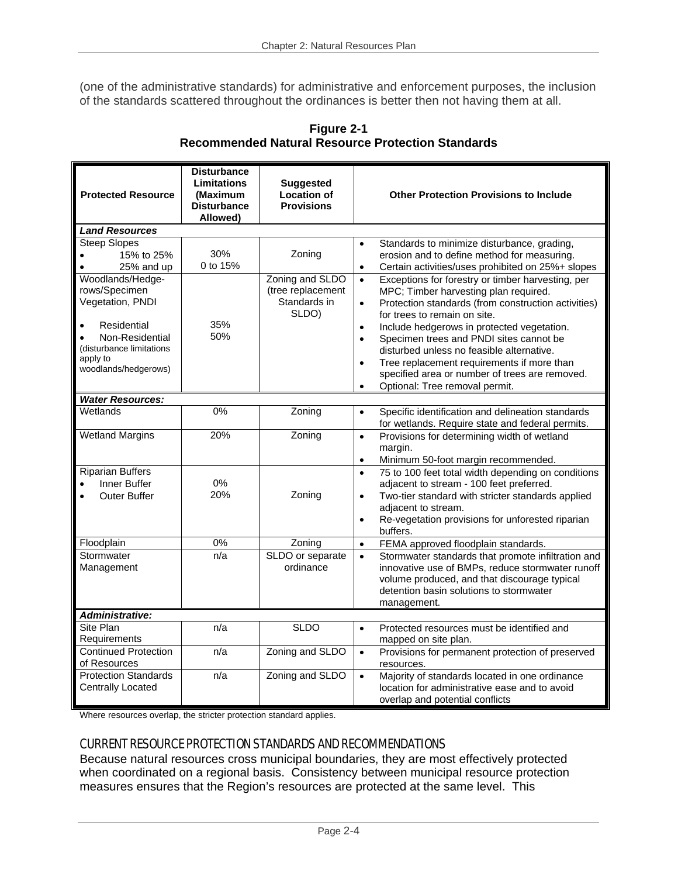(one of the administrative standards) for administrative and enforcement purposes, the inclusion of the standards scattered throughout the ordinances is better then not having them at all.

| <b>Protected Resource</b>                                                                                                                                                                        | <b>Disturbance</b><br><b>Limitations</b><br>(Maximum<br><b>Disturbance</b><br>Allowed) | <b>Suggested</b><br><b>Location of</b><br><b>Provisions</b>             | <b>Other Protection Provisions to Include</b>                                                                                                                                                                                                                                                                                                                                                                                                                                                                                                            |
|--------------------------------------------------------------------------------------------------------------------------------------------------------------------------------------------------|----------------------------------------------------------------------------------------|-------------------------------------------------------------------------|----------------------------------------------------------------------------------------------------------------------------------------------------------------------------------------------------------------------------------------------------------------------------------------------------------------------------------------------------------------------------------------------------------------------------------------------------------------------------------------------------------------------------------------------------------|
| <b>Land Resources</b>                                                                                                                                                                            |                                                                                        |                                                                         |                                                                                                                                                                                                                                                                                                                                                                                                                                                                                                                                                          |
| <b>Steep Slopes</b><br>15% to 25%<br>25% and up<br>$\bullet$<br>Woodlands/Hedge-<br>rows/Specimen<br>Vegetation, PNDI<br>Residential<br>$\bullet$<br>Non-Residential<br>(disturbance limitations | 30%<br>0 to 15%<br>35%<br>50%                                                          | Zoning<br>Zoning and SLDO<br>(tree replacement<br>Standards in<br>SLDO) | Standards to minimize disturbance, grading,<br>$\bullet$<br>erosion and to define method for measuring.<br>Certain activities/uses prohibited on 25%+ slopes<br>$\bullet$<br>Exceptions for forestry or timber harvesting, per<br>$\bullet$<br>MPC; Timber harvesting plan required.<br>Protection standards (from construction activities)<br>$\bullet$<br>for trees to remain on site.<br>Include hedgerows in protected vegetation.<br>$\bullet$<br>Specimen trees and PNDI sites cannot be<br>$\bullet$<br>disturbed unless no feasible alternative. |
| apply to<br>woodlands/hedgerows)                                                                                                                                                                 |                                                                                        |                                                                         | Tree replacement requirements if more than<br>$\bullet$<br>specified area or number of trees are removed.<br>Optional: Tree removal permit.<br>$\bullet$                                                                                                                                                                                                                                                                                                                                                                                                 |
| <b>Water Resources:</b>                                                                                                                                                                          |                                                                                        |                                                                         |                                                                                                                                                                                                                                                                                                                                                                                                                                                                                                                                                          |
| Wetlands                                                                                                                                                                                         | $0\%$                                                                                  | Zoning                                                                  | Specific identification and delineation standards<br>$\bullet$<br>for wetlands. Require state and federal permits.                                                                                                                                                                                                                                                                                                                                                                                                                                       |
| <b>Wetland Margins</b>                                                                                                                                                                           | 20%                                                                                    | Zoning                                                                  | Provisions for determining width of wetland<br>$\bullet$<br>margin.<br>Minimum 50-foot margin recommended.<br>$\bullet$                                                                                                                                                                                                                                                                                                                                                                                                                                  |
| <b>Riparian Buffers</b><br>Inner Buffer<br>$\bullet$<br><b>Outer Buffer</b><br>$\bullet$                                                                                                         | 0%<br>20%                                                                              | Zoning                                                                  | 75 to 100 feet total width depending on conditions<br>$\bullet$<br>adjacent to stream - 100 feet preferred.<br>Two-tier standard with stricter standards applied<br>$\bullet$<br>adjacent to stream.<br>Re-vegetation provisions for unforested riparian<br>$\bullet$<br>buffers.                                                                                                                                                                                                                                                                        |
| Floodplain                                                                                                                                                                                       | $0\%$                                                                                  | Zoning                                                                  | FEMA approved floodplain standards.<br>$\bullet$                                                                                                                                                                                                                                                                                                                                                                                                                                                                                                         |
| Stormwater<br>Management                                                                                                                                                                         | n/a                                                                                    | SLDO or separate<br>ordinance                                           | Stormwater standards that promote infiltration and<br>$\bullet$<br>innovative use of BMPs, reduce stormwater runoff<br>volume produced, and that discourage typical<br>detention basin solutions to stormwater<br>management.                                                                                                                                                                                                                                                                                                                            |
| <b>Administrative:</b>                                                                                                                                                                           |                                                                                        |                                                                         |                                                                                                                                                                                                                                                                                                                                                                                                                                                                                                                                                          |
| Site Plan<br>Requirements                                                                                                                                                                        | n/a                                                                                    | <b>SLDO</b>                                                             | Protected resources must be identified and<br>$\bullet$<br>mapped on site plan.                                                                                                                                                                                                                                                                                                                                                                                                                                                                          |
| <b>Continued Protection</b><br>of Resources                                                                                                                                                      | n/a                                                                                    | Zoning and SLDO                                                         | Provisions for permanent protection of preserved<br>$\bullet$<br>resources.                                                                                                                                                                                                                                                                                                                                                                                                                                                                              |
| <b>Protection Standards</b><br><b>Centrally Located</b>                                                                                                                                          | n/a                                                                                    | Zoning and SLDO                                                         | Majority of standards located in one ordinance<br>$\bullet$<br>location for administrative ease and to avoid<br>overlap and potential conflicts                                                                                                                                                                                                                                                                                                                                                                                                          |

**Figure 2-1 Recommended Natural Resource Protection Standards** 

Where resources overlap, the stricter protection standard applies.

# CURRENT RESOURCE PROTECTION STANDARDS AND RECOMMENDATIONS

Because natural resources cross municipal boundaries, they are most effectively protected when coordinated on a regional basis. Consistency between municipal resource protection measures ensures that the Region's resources are protected at the same level. This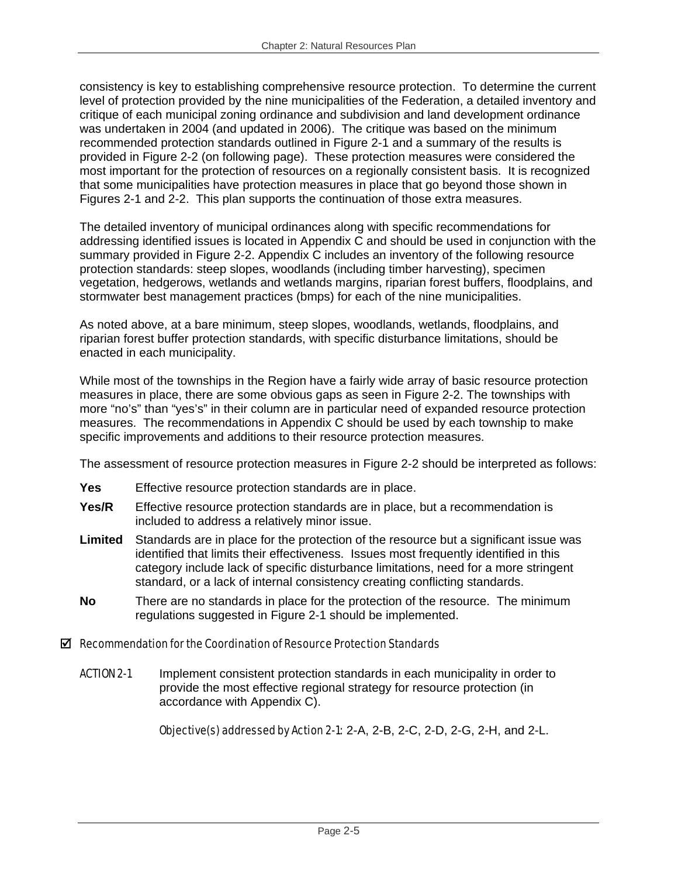consistency is key to establishing comprehensive resource protection. To determine the current level of protection provided by the nine municipalities of the Federation, a detailed inventory and critique of each municipal zoning ordinance and subdivision and land development ordinance was undertaken in 2004 (and updated in 2006). The critique was based on the minimum recommended protection standards outlined in Figure 2-1 and a summary of the results is provided in Figure 2-2 (on following page). These protection measures were considered the most important for the protection of resources on a regionally consistent basis. It is recognized that some municipalities have protection measures in place that go beyond those shown in Figures 2-1 and 2-2. This plan supports the continuation of those extra measures.

The detailed inventory of municipal ordinances along with specific recommendations for addressing identified issues is located in Appendix C and should be used in conjunction with the summary provided in Figure 2-2. Appendix C includes an inventory of the following resource protection standards: steep slopes, woodlands (including timber harvesting), specimen vegetation, hedgerows, wetlands and wetlands margins, riparian forest buffers, floodplains, and stormwater best management practices (bmps) for each of the nine municipalities.

As noted above, at a bare minimum, steep slopes, woodlands, wetlands, floodplains, and riparian forest buffer protection standards, with specific disturbance limitations, should be enacted in each municipality.

While most of the townships in the Region have a fairly wide array of basic resource protection measures in place, there are some obvious gaps as seen in Figure 2-2. The townships with more "no's" than "yes's" in their column are in particular need of expanded resource protection measures. The recommendations in Appendix C should be used by each township to make specific improvements and additions to their resource protection measures.

The assessment of resource protection measures in Figure 2-2 should be interpreted as follows:

- **Yes** Effective resource protection standards are in place.
- **Yes/R** Effective resource protection standards are in place, but a recommendation is included to address a relatively minor issue.
- **Limited** Standards are in place for the protection of the resource but a significant issue was identified that limits their effectiveness. Issues most frequently identified in this category include lack of specific disturbance limitations, need for a more stringent standard, or a lack of internal consistency creating conflicting standards.
- **No** There are no standards in place for the protection of the resource. The minimum regulations suggested in Figure 2-1 should be implemented.

# $\boxtimes$  Recommendation for the Coordination of Resource Protection Standards

ACTION 2-1 Implement consistent protection standards in each municipality in order to provide the most effective regional strategy for resource protection (in accordance with Appendix C).

Objective(s) addressed by Action 2-1: 2-A, 2-B, 2-C, 2-D, 2-G, 2-H, and 2-L.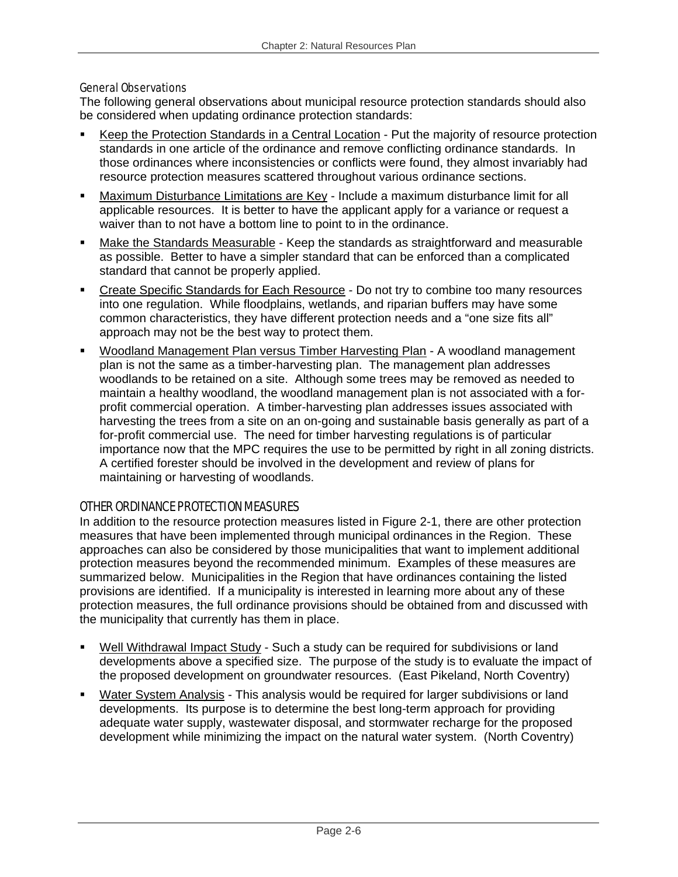#### General Observations

The following general observations about municipal resource protection standards should also be considered when updating ordinance protection standards:

- Keep the Protection Standards in a Central Location Put the majority of resource protection standards in one article of the ordinance and remove conflicting ordinance standards. In those ordinances where inconsistencies or conflicts were found, they almost invariably had resource protection measures scattered throughout various ordinance sections.
- Maximum Disturbance Limitations are Key Include a maximum disturbance limit for all applicable resources. It is better to have the applicant apply for a variance or request a waiver than to not have a bottom line to point to in the ordinance.
- Make the Standards Measurable Keep the standards as straightforward and measurable as possible. Better to have a simpler standard that can be enforced than a complicated standard that cannot be properly applied.
- Create Specific Standards for Each Resource Do not try to combine too many resources into one regulation. While floodplains, wetlands, and riparian buffers may have some common characteristics, they have different protection needs and a "one size fits all" approach may not be the best way to protect them.
- Woodland Management Plan versus Timber Harvesting Plan A woodland management plan is not the same as a timber-harvesting plan. The management plan addresses woodlands to be retained on a site. Although some trees may be removed as needed to maintain a healthy woodland, the woodland management plan is not associated with a forprofit commercial operation. A timber-harvesting plan addresses issues associated with harvesting the trees from a site on an on-going and sustainable basis generally as part of a for-profit commercial use. The need for timber harvesting regulations is of particular importance now that the MPC requires the use to be permitted by right in all zoning districts. A certified forester should be involved in the development and review of plans for maintaining or harvesting of woodlands.

# OTHER ORDINANCE PROTECTION MEASURES

In addition to the resource protection measures listed in Figure 2-1, there are other protection measures that have been implemented through municipal ordinances in the Region. These approaches can also be considered by those municipalities that want to implement additional protection measures beyond the recommended minimum. Examples of these measures are summarized below. Municipalities in the Region that have ordinances containing the listed provisions are identified. If a municipality is interested in learning more about any of these protection measures, the full ordinance provisions should be obtained from and discussed with the municipality that currently has them in place.

- Well Withdrawal Impact Study Such a study can be required for subdivisions or land developments above a specified size. The purpose of the study is to evaluate the impact of the proposed development on groundwater resources. (East Pikeland, North Coventry)
- Water System Analysis This analysis would be required for larger subdivisions or land developments. Its purpose is to determine the best long-term approach for providing adequate water supply, wastewater disposal, and stormwater recharge for the proposed development while minimizing the impact on the natural water system. (North Coventry)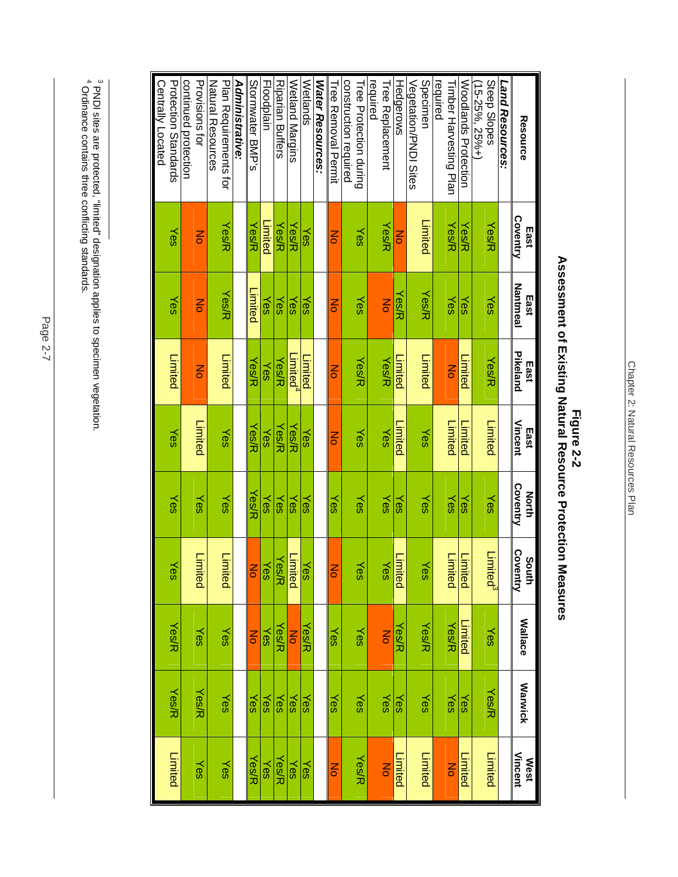|                                     |                  |                         | East                 |                        |                   | South                |                      |                |                      |
|-------------------------------------|------------------|-------------------------|----------------------|------------------------|-------------------|----------------------|----------------------|----------------|----------------------|
| Resource                            | Coventry<br>East | <b>Nantmeal</b><br>East | Pikeland             | <b>Vincent</b><br>East | Coventry<br>North | Coventry             | <b>Wallace</b>       | <b>Warwick</b> | West<br>Vincent      |
| Land Resources:                     |                  |                         |                      |                        |                   |                      |                      |                |                      |
| Steep Slopes                        | Yes/R            | Yes                     | Yes/R                | Limited                | Yes               | Limited <sup>3</sup> | Yes                  | <b>Yes/R</b>   | Limited              |
| (15-25%, 25%+)                      |                  |                         |                      |                        |                   |                      |                      |                |                      |
| Woodlands Protection                | Yes/R            | Yes                     | Limited              | -imited                | Yes               | Limited              | Limited              | Yes            | Limited              |
| equired<br>Fimber Harvesting Plan   | Yes/K            | Yes                     | $\overline{6}$       | <b>Limited</b>         | Yes               | Limited              | <b>Yes/R</b>         | Yes            | $\overline{6}$       |
| Specimer                            | Limited          | Yes/R                   | Limited              | Yes                    | Yes               | Yes                  | Yes/R                | Yes            | Limited              |
| Vegetation/PNDI Sites               |                  |                         |                      |                        |                   |                      |                      |                |                      |
| Hedgerows                           | Z                | Yes/R                   | -imited              | -imited                | Yes               | Limited              | Yes/R                | Yes            | Limited              |
| required<br><b>Tree Replacement</b> | Yes/R            | $\overline{6}$          | Yes/R                | Yes                    | Yes               | Yes                  | $\overline{a}$       | Yes            | $\overline{6}$       |
| <b>Liee Protection during</b>       | Yes              | Yes                     | Yes/R                | Yes                    | Yes               | Yes                  | Yes                  | Yes            | Yes/R                |
| construction required               |                  |                         |                      |                        |                   |                      |                      |                |                      |
| Lued Kernoval Lerrurt               | ă                | g                       | ξ                    | ξ                      | Yes               | Z                    | Yes                  | Yes            | $\frac{1}{\sqrt{2}}$ |
| <b>Water Resources:</b>             |                  |                         |                      |                        |                   |                      |                      |                |                      |
| Wetlands                            | Yes              | Yes                     | Limited              | Yes                    | Yes               | Yes                  | Yes/R                | Yes            | Yes                  |
| Wetland Margins                     | Yes/R            | γes                     | _imited <sup>4</sup> | Yes/R                  | Yes               | Limited              | $rac{1}{\sigma}$     | Yes            | Yes                  |
| <b>Riparian Buffers</b>             | Yes/R            | Yes                     | Yes/R                | Yes⁄R                  | Yes               | Yes/R                | Yes/R                | Yes            | Yes/R                |
| Floodplain                          | Limited          | Yes                     | Yes                  | Yes                    | Yes               | Yes                  | Yes                  | Yes            | Yes                  |
| Stormwater BMP's                    | Yes/R            | Limited                 | Yes/R                | Yes/R                  | Yes/R             | ξ                    | $\frac{1}{\sqrt{2}}$ | Yes            | Yes/R                |
| Administrative:                     |                  |                         |                      |                        |                   |                      |                      |                |                      |
| Plan Requirements for               | Yes/R            | Yes/R                   | Limited              | Yes                    | Yes               | Limited              | Yes                  | Yes            | Yes                  |
| Natural Resources                   |                  |                         |                      |                        |                   |                      |                      |                |                      |
| Provisions for                      | Z                | Mo                      | $\frac{2}{5}$        | Limited                | Yes               | Limited              | Yes                  | <b>Yes/R</b>   | Yes                  |
| continued protection                |                  |                         |                      |                        |                   |                      |                      |                |                      |
| <b>Protection Standards</b>         | Yes              | Yes                     | Limited              | Yes                    | Yes               | Yes                  | <b>Yes/R</b>         | <b>Yes/R</b>   | Limited              |
| Centrally Located                   |                  |                         |                      |                        |                   |                      |                      |                |                      |

# **Figure 2-2**<br>Assessment of Existing Natural Resource Protection Measures **Assessment of Existing Natural Resource Protection Measures Figure 2-2**

 $^3$  PNDI sites are protected, "limited" designation applies to specimen vegetation.<br>4 Ordinance contains three conflicting standards. 3 PNDI sites are protected, "limited" designation applies to specimen vegetation. 4 Ordinance contains three conflicting standards.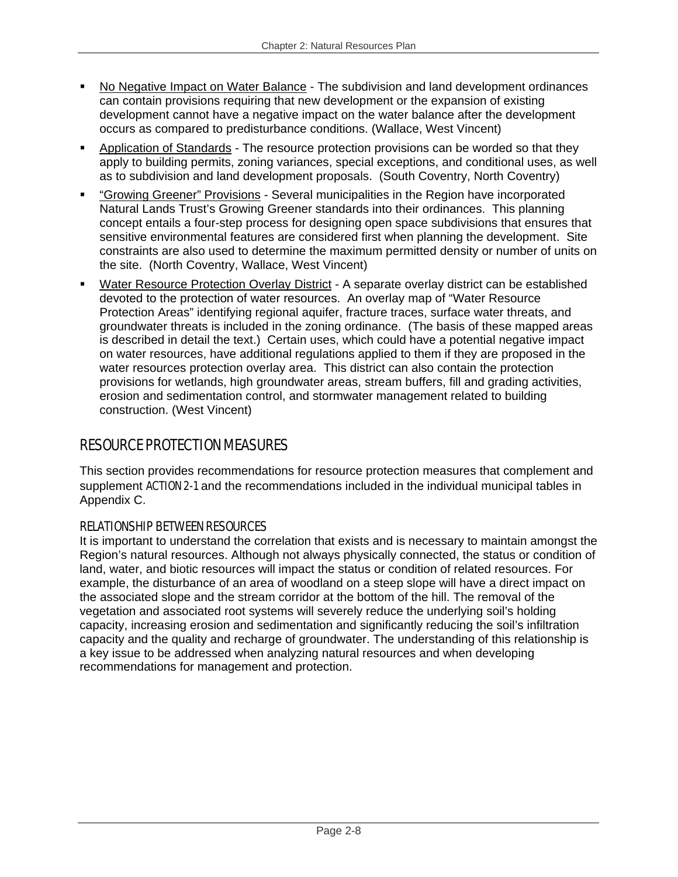- No Negative Impact on Water Balance The subdivision and land development ordinances can contain provisions requiring that new development or the expansion of existing development cannot have a negative impact on the water balance after the development occurs as compared to predisturbance conditions. (Wallace, West Vincent)
- Application of Standards The resource protection provisions can be worded so that they apply to building permits, zoning variances, special exceptions, and conditional uses, as well as to subdivision and land development proposals. (South Coventry, North Coventry)
- "Growing Greener" Provisions Several municipalities in the Region have incorporated Natural Lands Trust's Growing Greener standards into their ordinances. This planning concept entails a four-step process for designing open space subdivisions that ensures that sensitive environmental features are considered first when planning the development. Site constraints are also used to determine the maximum permitted density or number of units on the site. (North Coventry, Wallace, West Vincent)
- Water Resource Protection Overlay District A separate overlay district can be established devoted to the protection of water resources. An overlay map of "Water Resource Protection Areas" identifying regional aquifer, fracture traces, surface water threats, and groundwater threats is included in the zoning ordinance. (The basis of these mapped areas is described in detail the text.) Certain uses, which could have a potential negative impact on water resources, have additional regulations applied to them if they are proposed in the water resources protection overlay area. This district can also contain the protection provisions for wetlands, high groundwater areas, stream buffers, fill and grading activities, erosion and sedimentation control, and stormwater management related to building construction. (West Vincent)

# RESOURCE PROTECTION MEASURES

This section provides recommendations for resource protection measures that complement and supplement ACTION 2-1 and the recommendations included in the individual municipal tables in Appendix C.

# RELATIONSHIP BETWEEN RESOURCES

It is important to understand the correlation that exists and is necessary to maintain amongst the Region's natural resources. Although not always physically connected, the status or condition of land, water, and biotic resources will impact the status or condition of related resources. For example, the disturbance of an area of woodland on a steep slope will have a direct impact on the associated slope and the stream corridor at the bottom of the hill. The removal of the vegetation and associated root systems will severely reduce the underlying soil's holding capacity, increasing erosion and sedimentation and significantly reducing the soil's infiltration capacity and the quality and recharge of groundwater. The understanding of this relationship is a key issue to be addressed when analyzing natural resources and when developing recommendations for management and protection.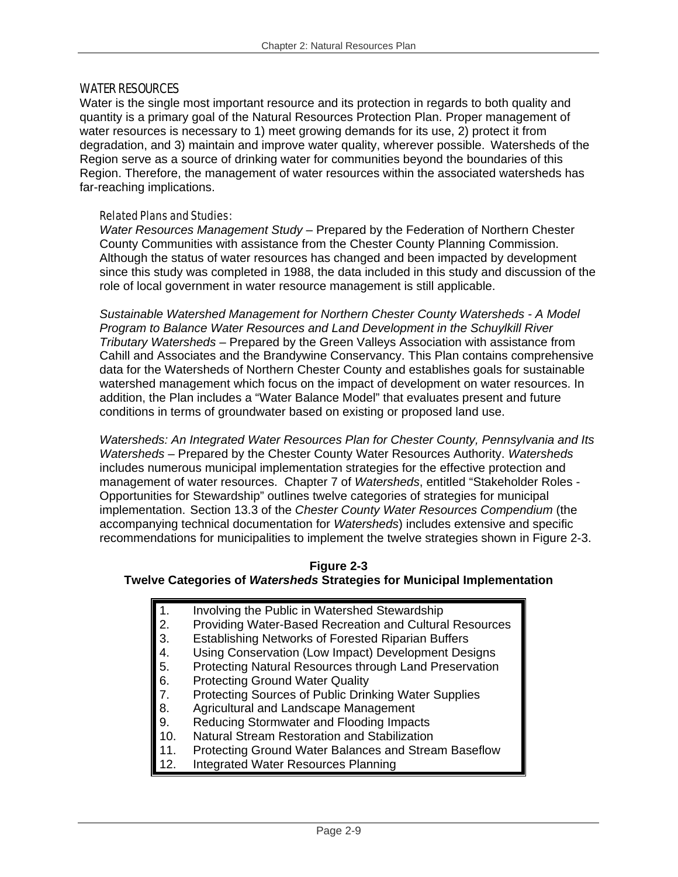#### WATER RESOURCES

Water is the single most important resource and its protection in regards to both quality and quantity is a primary goal of the Natural Resources Protection Plan. Proper management of water resources is necessary to 1) meet growing demands for its use, 2) protect it from degradation, and 3) maintain and improve water quality, wherever possible. Watersheds of the Region serve as a source of drinking water for communities beyond the boundaries of this Region. Therefore, the management of water resources within the associated watersheds has far-reaching implications.

#### Related Plans and Studies:

*Water Resources Management Study* – Prepared by the Federation of Northern Chester County Communities with assistance from the Chester County Planning Commission. Although the status of water resources has changed and been impacted by development since this study was completed in 1988, the data included in this study and discussion of the role of local government in water resource management is still applicable.

*Sustainable Watershed Management for Northern Chester County Watersheds - A Model Program to Balance Water Resources and Land Development in the Schuylkill River Tributary Watersheds –* Prepared by the Green Valleys Association with assistance from Cahill and Associates and the Brandywine Conservancy. This Plan contains comprehensive data for the Watersheds of Northern Chester County and establishes goals for sustainable watershed management which focus on the impact of development on water resources. In addition, the Plan includes a "Water Balance Model" that evaluates present and future conditions in terms of groundwater based on existing or proposed land use.

*Watersheds: An Integrated Water Resources Plan for Chester County, Pennsylvania and Its Watersheds* – Prepared by the Chester County Water Resources Authority. *Watersheds* includes numerous municipal implementation strategies for the effective protection and management of water resources. Chapter 7 of *Watersheds*, entitled "Stakeholder Roles - Opportunities for Stewardship" outlines twelve categories of strategies for municipal implementation. Section 13.3 of the *Chester County Water Resources Compendium* (the accompanying technical documentation for *Watersheds*) includes extensive and specific recommendations for municipalities to implement the twelve strategies shown in Figure 2-3.

#### **Figure 2-3**

#### **Twelve Categories of** *Watersheds* **Strategies for Municipal Implementation**

- 1. Involving the Public in Watershed Stewardship
- 2. Providing Water-Based Recreation and Cultural Resources
- 3. Establishing Networks of Forested Riparian Buffers
- 
- 4. Using Conservation (Low Impact) Development Designs<br>5. Protecting Natural Resources through Land Preservation 5. Protecting Natural Resources through Land Preservation
- 
- 6. Protecting Ground Water Quality<br>7. Protecting Sources of Public Drin 7. Protecting Sources of Public Drinking Water Supplies<br>8. Agricultural and Landscape Management
- Agricultural and Landscape Management
- 9. Reducing Stormwater and Flooding Impacts
- 10. Natural Stream Restoration and Stabilization
- 11. Protecting Ground Water Balances and Stream Baseflow
- 12. Integrated Water Resources Planning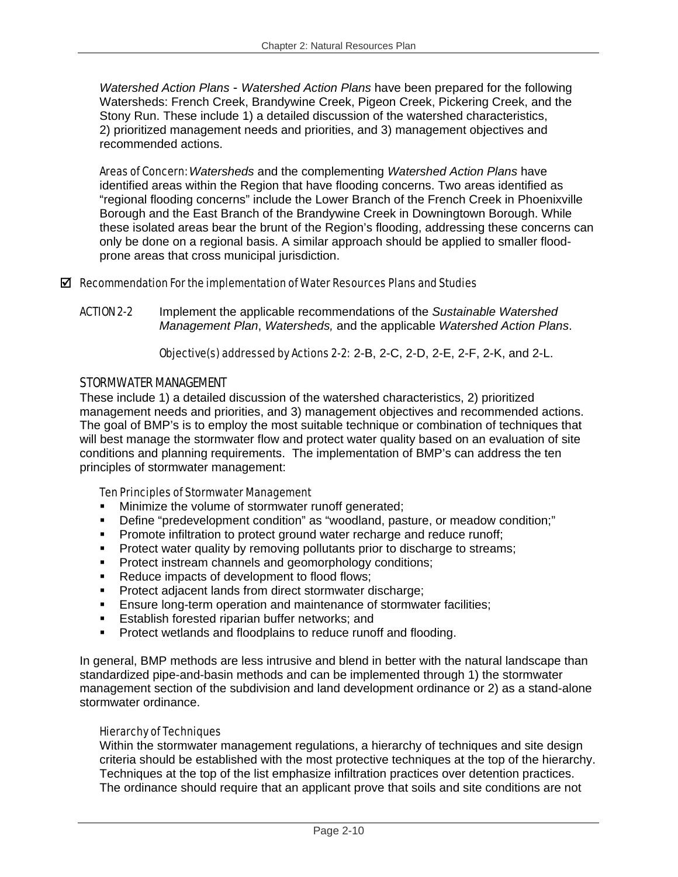*Watershed Action Plans* - *Watershed Action Plans* have been prepared for the following Watersheds: French Creek, Brandywine Creek, Pigeon Creek, Pickering Creek, and the Stony Run. These include 1) a detailed discussion of the watershed characteristics, 2) prioritized management needs and priorities, and 3) management objectives and recommended actions.

Areas of Concern: *Watersheds* and the complementing *Watershed Action Plans* have identified areas within the Region that have flooding concerns. Two areas identified as "regional flooding concerns" include the Lower Branch of the French Creek in Phoenixville Borough and the East Branch of the Brandywine Creek in Downingtown Borough. While these isolated areas bear the brunt of the Region's flooding, addressing these concerns can only be done on a regional basis. A similar approach should be applied to smaller floodprone areas that cross municipal jurisdiction.

#### $\boxtimes$  Recommendation For the implementation of Water Resources Plans and Studies

ACTION 2-2 Implement the applicable recommendations of the *Sustainable Watershed Management Plan*, *Watersheds,* and the applicable *Watershed Action Plans*.

Objective(s) addressed by Actions 2-2: 2-B, 2-C, 2-D, 2-E, 2-F, 2-K, and 2-L.

#### STORMWATER MANAGEMENT

These include 1) a detailed discussion of the watershed characteristics, 2) prioritized management needs and priorities, and 3) management objectives and recommended actions. The goal of BMP's is to employ the most suitable technique or combination of techniques that will best manage the stormwater flow and protect water quality based on an evaluation of site conditions and planning requirements. The implementation of BMP's can address the ten principles of stormwater management:

#### Ten Principles of Stormwater Management

- Minimize the volume of stormwater runoff generated;
- Define "predevelopment condition" as "woodland, pasture, or meadow condition;"
- **Promote infiltration to protect ground water recharge and reduce runoff;**
- **Protect water quality by removing pollutants prior to discharge to streams;**
- **Protect instream channels and geomorphology conditions;**
- Reduce impacts of development to flood flows;
- **Protect adjacent lands from direct stormwater discharge;**
- Ensure long-term operation and maintenance of stormwater facilities;
- **Establish forested riparian buffer networks; and**
- **Protect wetlands and floodplains to reduce runoff and flooding.**

In general, BMP methods are less intrusive and blend in better with the natural landscape than standardized pipe-and-basin methods and can be implemented through 1) the stormwater management section of the subdivision and land development ordinance or 2) as a stand-alone stormwater ordinance.

#### Hierarchy of Techniques

Within the stormwater management regulations, a hierarchy of techniques and site design criteria should be established with the most protective techniques at the top of the hierarchy. Techniques at the top of the list emphasize infiltration practices over detention practices. The ordinance should require that an applicant prove that soils and site conditions are not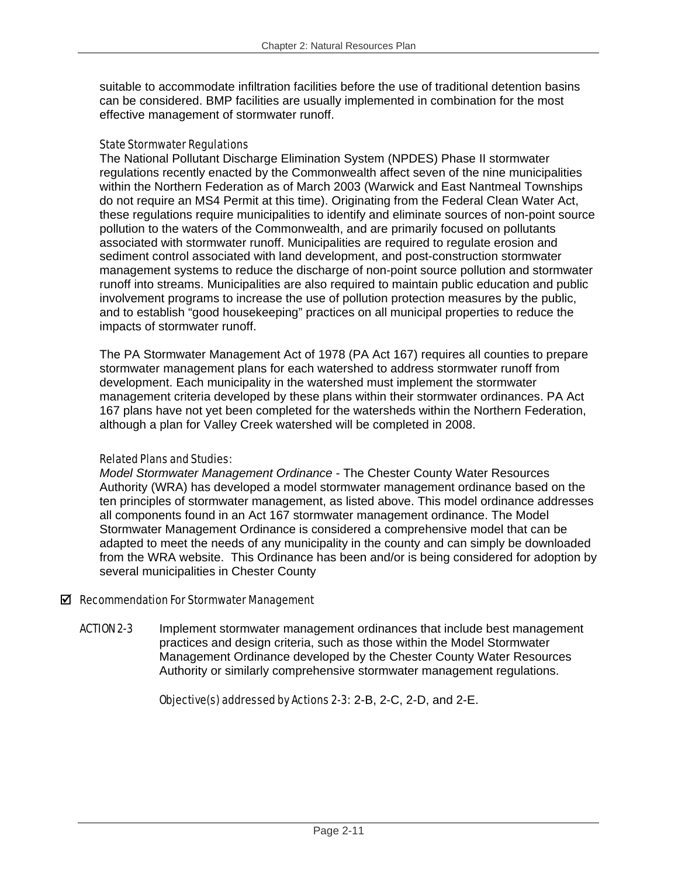suitable to accommodate infiltration facilities before the use of traditional detention basins can be considered. BMP facilities are usually implemented in combination for the most effective management of stormwater runoff.

#### State Stormwater Regulations

The National Pollutant Discharge Elimination System (NPDES) Phase II stormwater regulations recently enacted by the Commonwealth affect seven of the nine municipalities within the Northern Federation as of March 2003 (Warwick and East Nantmeal Townships do not require an MS4 Permit at this time). Originating from the Federal Clean Water Act, these regulations require municipalities to identify and eliminate sources of non-point source pollution to the waters of the Commonwealth, and are primarily focused on pollutants associated with stormwater runoff. Municipalities are required to regulate erosion and sediment control associated with land development, and post-construction stormwater management systems to reduce the discharge of non-point source pollution and stormwater runoff into streams. Municipalities are also required to maintain public education and public involvement programs to increase the use of pollution protection measures by the public, and to establish "good housekeeping" practices on all municipal properties to reduce the impacts of stormwater runoff.

The PA Stormwater Management Act of 1978 (PA Act 167) requires all counties to prepare stormwater management plans for each watershed to address stormwater runoff from development. Each municipality in the watershed must implement the stormwater management criteria developed by these plans within their stormwater ordinances. PA Act 167 plans have not yet been completed for the watersheds within the Northern Federation, although a plan for Valley Creek watershed will be completed in 2008.

#### Related Plans and Studies:

*Model Stormwater Management Ordinance -* The Chester County Water Resources Authority (WRA) has developed a model stormwater management ordinance based on the ten principles of stormwater management, as listed above. This model ordinance addresses all components found in an Act 167 stormwater management ordinance. The Model Stormwater Management Ordinance is considered a comprehensive model that can be adapted to meet the needs of any municipality in the county and can simply be downloaded from the WRA website. This Ordinance has been and/or is being considered for adoption by several municipalities in Chester County

#### $\boxtimes$  Recommendation For Stormwater Management

ACTION 2-3 Implement stormwater management ordinances that include best management practices and design criteria, such as those within the Model Stormwater Management Ordinance developed by the Chester County Water Resources Authority or similarly comprehensive stormwater management regulations.

Objective(s) addressed by Actions 2-3: 2-B, 2-C, 2-D, and 2-E.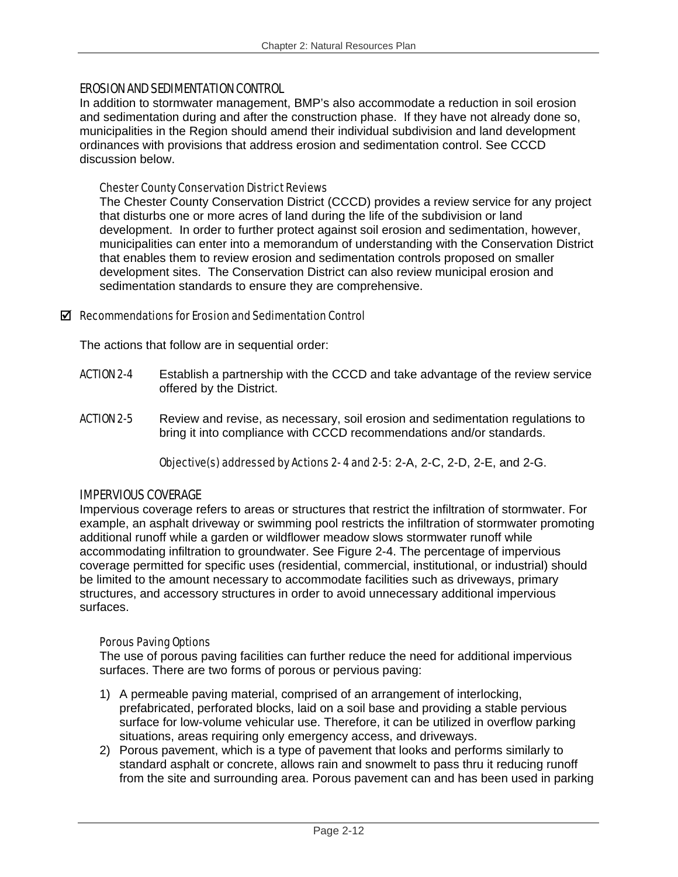#### EROSION AND SEDIMENTATION CONTROL

In addition to stormwater management, BMP's also accommodate a reduction in soil erosion and sedimentation during and after the construction phase. If they have not already done so, municipalities in the Region should amend their individual subdivision and land development ordinances with provisions that address erosion and sedimentation control. See CCCD discussion below.

#### Chester County Conservation District Reviews

The Chester County Conservation District (CCCD) provides a review service for any project that disturbs one or more acres of land during the life of the subdivision or land development. In order to further protect against soil erosion and sedimentation, however, municipalities can enter into a memorandum of understanding with the Conservation District that enables them to review erosion and sedimentation controls proposed on smaller development sites. The Conservation District can also review municipal erosion and sedimentation standards to ensure they are comprehensive.

#### $\boxtimes$  Recommendations for Erosion and Sedimentation Control

The actions that follow are in sequential order:

- ACTION 2-4 Establish a partnership with the CCCD and take advantage of the review service offered by the District.
- **ACTION 2-5** Review and revise, as necessary, soil erosion and sedimentation regulations to bring it into compliance with CCCD recommendations and/or standards.

Objective(s) addressed by Actions 2- 4 and 2-5: 2-A, 2-C, 2-D, 2-E, and 2-G.

#### IMPERVIOUS COVERAGE

Impervious coverage refers to areas or structures that restrict the infiltration of stormwater. For example, an asphalt driveway or swimming pool restricts the infiltration of stormwater promoting additional runoff while a garden or wildflower meadow slows stormwater runoff while accommodating infiltration to groundwater. See Figure 2-4. The percentage of impervious coverage permitted for specific uses (residential, commercial, institutional, or industrial) should be limited to the amount necessary to accommodate facilities such as driveways, primary structures, and accessory structures in order to avoid unnecessary additional impervious surfaces.

#### Porous Paving Options

The use of porous paving facilities can further reduce the need for additional impervious surfaces. There are two forms of porous or pervious paving:

- 1) A permeable paving material, comprised of an arrangement of interlocking, prefabricated, perforated blocks, laid on a soil base and providing a stable pervious surface for low-volume vehicular use. Therefore, it can be utilized in overflow parking situations, areas requiring only emergency access, and driveways.
- 2) Porous pavement, which is a type of pavement that looks and performs similarly to standard asphalt or concrete, allows rain and snowmelt to pass thru it reducing runoff from the site and surrounding area. Porous pavement can and has been used in parking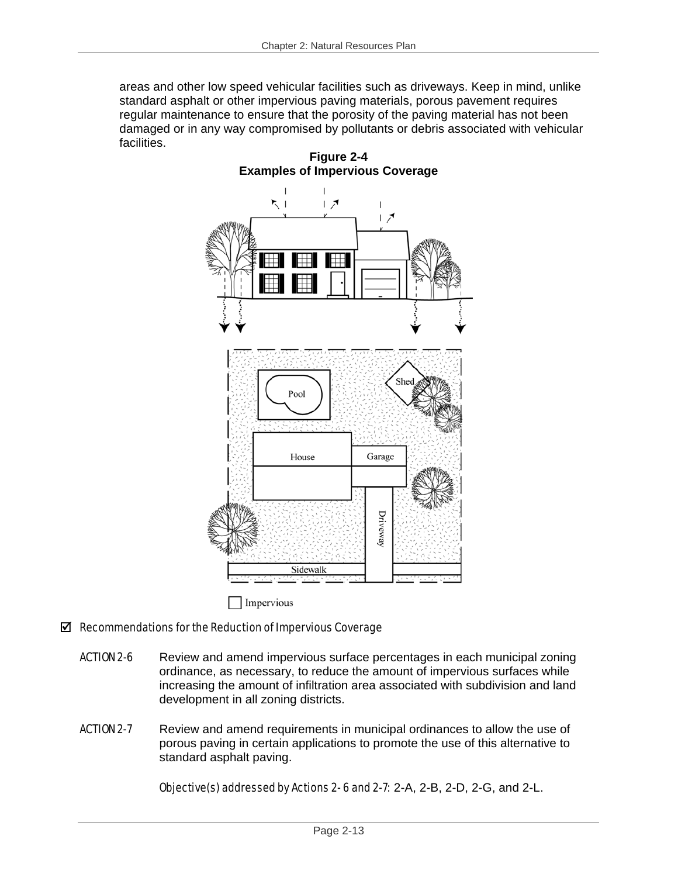areas and other low speed vehicular facilities such as driveways. Keep in mind, unlike standard asphalt or other impervious paving materials, porous pavement requires regular maintenance to ensure that the porosity of the paving material has not been damaged or in any way compromised by pollutants or debris associated with vehicular facilities.



# $\boxtimes$  Recommendations for the Reduction of Impervious Coverage

- **ACTION 2-6** Review and amend impervious surface percentages in each municipal zoning ordinance, as necessary, to reduce the amount of impervious surfaces while increasing the amount of infiltration area associated with subdivision and land development in all zoning districts.
- **ACTION 2-7** Review and amend requirements in municipal ordinances to allow the use of porous paving in certain applications to promote the use of this alternative to standard asphalt paving.

Objective(s) addressed by Actions 2- 6 and 2-7: 2-A, 2-B, 2-D, 2-G, and 2-L.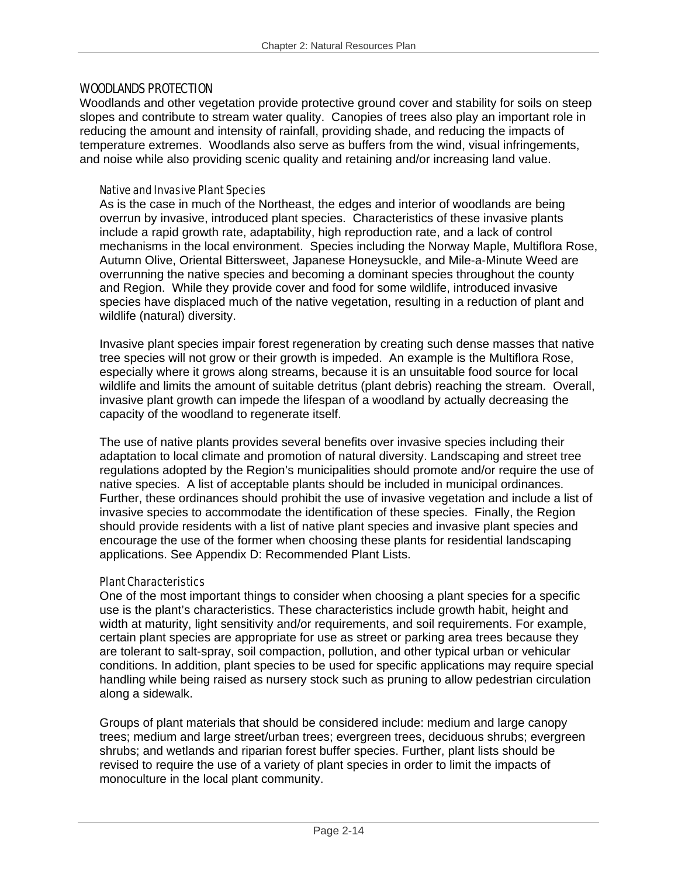#### WOODLANDS PROTECTION

Woodlands and other vegetation provide protective ground cover and stability for soils on steep slopes and contribute to stream water quality. Canopies of trees also play an important role in reducing the amount and intensity of rainfall, providing shade, and reducing the impacts of temperature extremes. Woodlands also serve as buffers from the wind, visual infringements, and noise while also providing scenic quality and retaining and/or increasing land value.

#### Native and Invasive Plant Species

As is the case in much of the Northeast, the edges and interior of woodlands are being overrun by invasive, introduced plant species. Characteristics of these invasive plants include a rapid growth rate, adaptability, high reproduction rate, and a lack of control mechanisms in the local environment. Species including the Norway Maple, Multiflora Rose, Autumn Olive, Oriental Bittersweet, Japanese Honeysuckle, and Mile-a-Minute Weed are overrunning the native species and becoming a dominant species throughout the county and Region. While they provide cover and food for some wildlife, introduced invasive species have displaced much of the native vegetation, resulting in a reduction of plant and wildlife (natural) diversity.

Invasive plant species impair forest regeneration by creating such dense masses that native tree species will not grow or their growth is impeded. An example is the Multiflora Rose, especially where it grows along streams, because it is an unsuitable food source for local wildlife and limits the amount of suitable detritus (plant debris) reaching the stream. Overall, invasive plant growth can impede the lifespan of a woodland by actually decreasing the capacity of the woodland to regenerate itself.

The use of native plants provides several benefits over invasive species including their adaptation to local climate and promotion of natural diversity. Landscaping and street tree regulations adopted by the Region's municipalities should promote and/or require the use of native species. A list of acceptable plants should be included in municipal ordinances. Further, these ordinances should prohibit the use of invasive vegetation and include a list of invasive species to accommodate the identification of these species. Finally, the Region should provide residents with a list of native plant species and invasive plant species and encourage the use of the former when choosing these plants for residential landscaping applications. See Appendix D: Recommended Plant Lists.

#### Plant Characteristics

One of the most important things to consider when choosing a plant species for a specific use is the plant's characteristics. These characteristics include growth habit, height and width at maturity, light sensitivity and/or requirements, and soil requirements. For example, certain plant species are appropriate for use as street or parking area trees because they are tolerant to salt-spray, soil compaction, pollution, and other typical urban or vehicular conditions. In addition, plant species to be used for specific applications may require special handling while being raised as nursery stock such as pruning to allow pedestrian circulation along a sidewalk.

Groups of plant materials that should be considered include: medium and large canopy trees; medium and large street/urban trees; evergreen trees, deciduous shrubs; evergreen shrubs; and wetlands and riparian forest buffer species. Further, plant lists should be revised to require the use of a variety of plant species in order to limit the impacts of monoculture in the local plant community.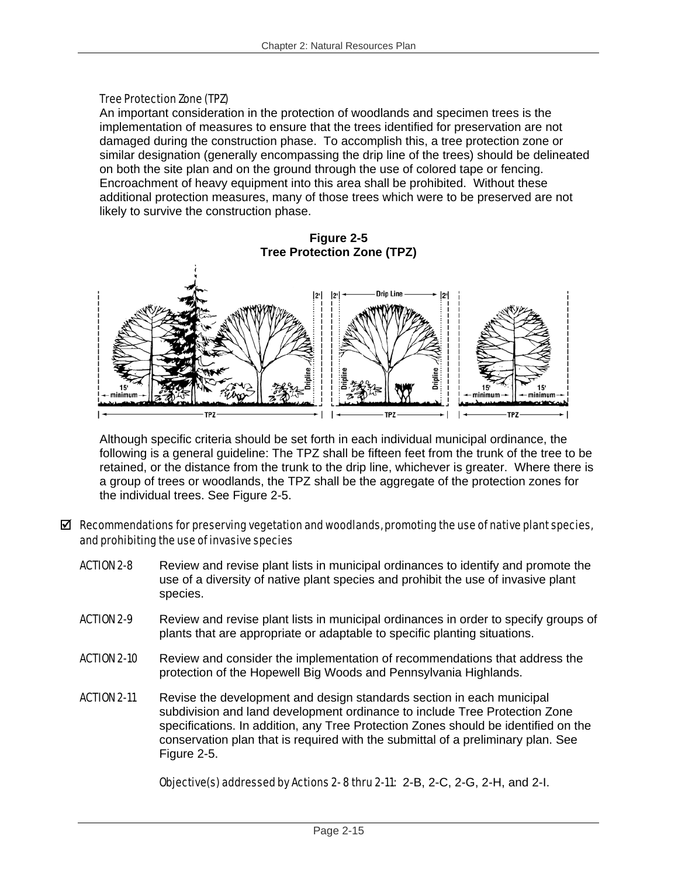#### Tree Protection Zone (TPZ)

An important consideration in the protection of woodlands and specimen trees is the implementation of measures to ensure that the trees identified for preservation are not damaged during the construction phase. To accomplish this, a tree protection zone or similar designation (generally encompassing the drip line of the trees) should be delineated on both the site plan and on the ground through the use of colored tape or fencing. Encroachment of heavy equipment into this area shall be prohibited. Without these additional protection measures, many of those trees which were to be preserved are not likely to survive the construction phase.

**Figure 2-5 Tree Protection Zone (TPZ)** 



Although specific criteria should be set forth in each individual municipal ordinance, the following is a general guideline: The TPZ shall be fifteen feet from the trunk of the tree to be retained, or the distance from the trunk to the drip line, whichever is greater. Where there is a group of trees or woodlands, the TPZ shall be the aggregate of the protection zones for the individual trees. See Figure 2-5.

#### $\boxtimes$  Recommendations for preserving vegetation and woodlands, promoting the use of native plant species, and prohibiting the use of invasive species

- ACTION 2-8 Review and revise plant lists in municipal ordinances to identify and promote the use of a diversity of native plant species and prohibit the use of invasive plant species.
- **ACTION 2-9** Review and revise plant lists in municipal ordinances in order to specify groups of plants that are appropriate or adaptable to specific planting situations.
- **ACTION 2-10** Review and consider the implementation of recommendations that address the protection of the Hopewell Big Woods and Pennsylvania Highlands.
- **ACTION 2-11** Revise the development and design standards section in each municipal subdivision and land development ordinance to include Tree Protection Zone specifications. In addition, any Tree Protection Zones should be identified on the conservation plan that is required with the submittal of a preliminary plan. See Figure 2-5.

Objective(s) addressed by Actions 2- 8 thru 2-11: 2-B, 2-C, 2-G, 2-H, and 2-I.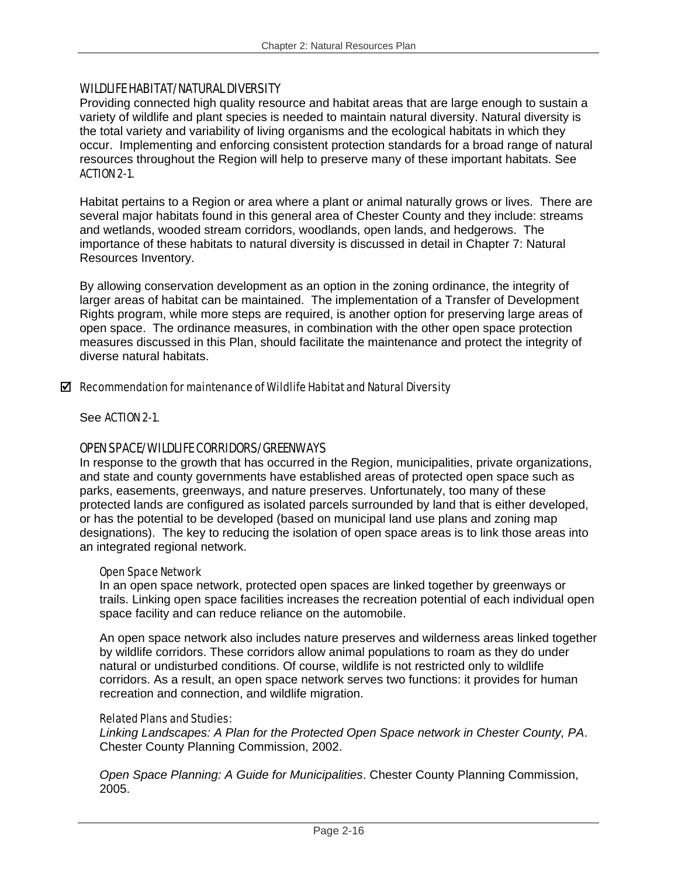#### WILDLIFE HABITAT/NATURAL DIVERSITY

Providing connected high quality resource and habitat areas that are large enough to sustain a variety of wildlife and plant species is needed to maintain natural diversity. Natural diversity is the total variety and variability of living organisms and the ecological habitats in which they occur. Implementing and enforcing consistent protection standards for a broad range of natural resources throughout the Region will help to preserve many of these important habitats. See ACTION 2-1.

Habitat pertains to a Region or area where a plant or animal naturally grows or lives. There are several major habitats found in this general area of Chester County and they include: streams and wetlands, wooded stream corridors, woodlands, open lands, and hedgerows. The importance of these habitats to natural diversity is discussed in detail in Chapter 7: Natural Resources Inventory.

By allowing conservation development as an option in the zoning ordinance, the integrity of larger areas of habitat can be maintained. The implementation of a Transfer of Development Rights program, while more steps are required, is another option for preserving large areas of open space. The ordinance measures, in combination with the other open space protection measures discussed in this Plan, should facilitate the maintenance and protect the integrity of diverse natural habitats.

#### $\boxtimes$  Recommendation for maintenance of Wildlife Habitat and Natural Diversity

See ACTION 2-1.

#### OPEN SPACE/WILDLIFE CORRIDORS/GREENWAYS

In response to the growth that has occurred in the Region, municipalities, private organizations, and state and county governments have established areas of protected open space such as parks, easements, greenways, and nature preserves. Unfortunately, too many of these protected lands are configured as isolated parcels surrounded by land that is either developed, or has the potential to be developed (based on municipal land use plans and zoning map designations). The key to reducing the isolation of open space areas is to link those areas into an integrated regional network.

#### Open Space Network

In an open space network, protected open spaces are linked together by greenways or trails. Linking open space facilities increases the recreation potential of each individual open space facility and can reduce reliance on the automobile.

An open space network also includes nature preserves and wilderness areas linked together by wildlife corridors. These corridors allow animal populations to roam as they do under natural or undisturbed conditions. Of course, wildlife is not restricted only to wildlife corridors. As a result, an open space network serves two functions: it provides for human recreation and connection, and wildlife migration.

#### Related Plans and Studies:

*Linking Landscapes: A Plan for the Protected Open Space network in Chester County, PA*. Chester County Planning Commission, 2002.

*Open Space Planning: A Guide for Municipalities*. Chester County Planning Commission, 2005.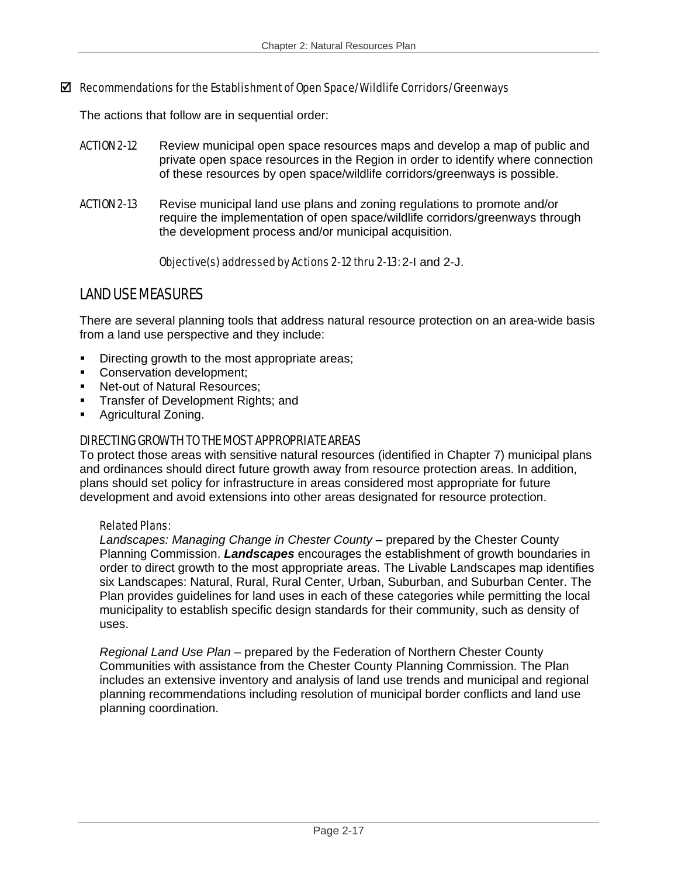#### $\boxtimes$  Recommendations for the Establishment of Open Space/Wildlife Corridors/Greenways

The actions that follow are in sequential order:

- **ACTION 2-12** Review municipal open space resources maps and develop a map of public and private open space resources in the Region in order to identify where connection of these resources by open space/wildlife corridors/greenways is possible.
- ACTION 2-13 Revise municipal land use plans and zoning regulations to promote and/or require the implementation of open space/wildlife corridors/greenways through the development process and/or municipal acquisition.

#### Objective(s) addressed by Actions 2-12 thru 2-13: 2-I and 2-J.

# LAND USE MEASURES

There are several planning tools that address natural resource protection on an area-wide basis from a land use perspective and they include:

- Directing growth to the most appropriate areas;
- Conservation development:
- Net-out of Natural Resources;
- Transfer of Development Rights; and
- **Agricultural Zoning.**

## DIRECTING GROWTH TO THE MOST APPROPRIATE AREAS

To protect those areas with sensitive natural resources (identified in Chapter 7) municipal plans and ordinances should direct future growth away from resource protection areas. In addition, plans should set policy for infrastructure in areas considered most appropriate for future development and avoid extensions into other areas designated for resource protection.

#### Related Plans:

*Landscapes: Managing Change in Chester County* – prepared by the Chester County Planning Commission. *Landscapes* encourages the establishment of growth boundaries in order to direct growth to the most appropriate areas. The Livable Landscapes map identifies six Landscapes: Natural, Rural, Rural Center, Urban, Suburban, and Suburban Center. The Plan provides guidelines for land uses in each of these categories while permitting the local municipality to establish specific design standards for their community, such as density of uses.

*Regional Land Use Plan* – prepared by the Federation of Northern Chester County Communities with assistance from the Chester County Planning Commission. The Plan includes an extensive inventory and analysis of land use trends and municipal and regional planning recommendations including resolution of municipal border conflicts and land use planning coordination.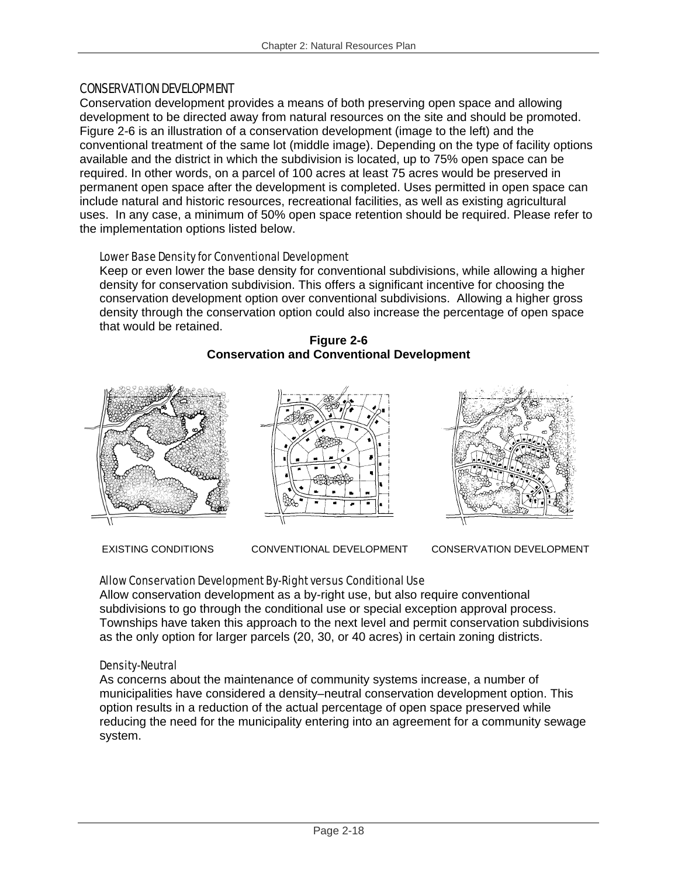## CONSERVATION DEVELOPMENT

Conservation development provides a means of both preserving open space and allowing development to be directed away from natural resources on the site and should be promoted. Figure 2-6 is an illustration of a conservation development (image to the left) and the conventional treatment of the same lot (middle image). Depending on the type of facility options available and the district in which the subdivision is located, up to 75% open space can be required. In other words, on a parcel of 100 acres at least 75 acres would be preserved in permanent open space after the development is completed. Uses permitted in open space can include natural and historic resources, recreational facilities, as well as existing agricultural uses. In any case, a minimum of 50% open space retention should be required. Please refer to the implementation options listed below.

#### Lower Base Density for Conventional Development

Keep or even lower the base density for conventional subdivisions, while allowing a higher density for conservation subdivision. This offers a significant incentive for choosing the conservation development option over conventional subdivisions. Allowing a higher gross density through the conservation option could also increase the percentage of open space that would be retained.





EXISTING CONDITIONS CONVENTIONAL DEVELOPMENT CONSERVATION DEVELOPMENT

# Allow Conservation Development By-Right versus Conditional Use

Allow conservation development as a by-right use, but also require conventional subdivisions to go through the conditional use or special exception approval process. Townships have taken this approach to the next level and permit conservation subdivisions as the only option for larger parcels (20, 30, or 40 acres) in certain zoning districts.

#### Density-Neutral

As concerns about the maintenance of community systems increase, a number of municipalities have considered a density–neutral conservation development option. This option results in a reduction of the actual percentage of open space preserved while reducing the need for the municipality entering into an agreement for a community sewage system.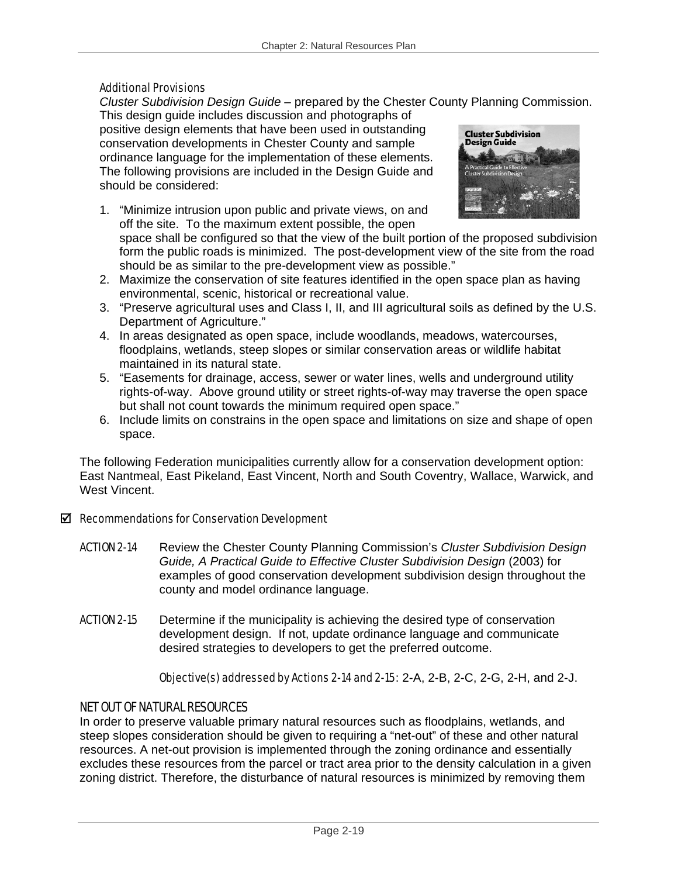#### Additional Provisions

*Cluster Subdivision Design Guide* – prepared by the Chester County Planning Commission.

This design guide includes discussion and photographs of positive design elements that have been used in outstanding conservation developments in Chester County and sample ordinance language for the implementation of these elements. The following provisions are included in the Design Guide and should be considered:

1. "Minimize intrusion upon public and private views, on and off the site. To the maximum extent possible, the open



space shall be configured so that the view of the built portion of the proposed subdivision form the public roads is minimized. The post-development view of the site from the road should be as similar to the pre-development view as possible."

- 2. Maximize the conservation of site features identified in the open space plan as having environmental, scenic, historical or recreational value.
- 3. "Preserve agricultural uses and Class I, II, and III agricultural soils as defined by the U.S. Department of Agriculture."
- 4. In areas designated as open space, include woodlands, meadows, watercourses, floodplains, wetlands, steep slopes or similar conservation areas or wildlife habitat maintained in its natural state.
- 5. "Easements for drainage, access, sewer or water lines, wells and underground utility rights-of-way. Above ground utility or street rights-of-way may traverse the open space but shall not count towards the minimum required open space."
- 6. Include limits on constrains in the open space and limitations on size and shape of open space.

The following Federation municipalities currently allow for a conservation development option: East Nantmeal, East Pikeland, East Vincent, North and South Coventry, Wallace, Warwick, and West Vincent.

#### $\boxtimes$  Recommendations for Conservation Development

- ACTION 2-14 Review the Chester County Planning Commission's *Cluster Subdivision Design Guide, A Practical Guide to Effective Cluster Subdivision Design* (2003) for examples of good conservation development subdivision design throughout the county and model ordinance language.
- **ACTION 2-15** Determine if the municipality is achieving the desired type of conservation development design. If not, update ordinance language and communicate desired strategies to developers to get the preferred outcome.

Objective(s) addressed by Actions 2-14 and 2-15: 2-A, 2-B, 2-C, 2-G, 2-H, and 2-J.

# NET OUT OF NATURAL RESOURCES

In order to preserve valuable primary natural resources such as floodplains, wetlands, and steep slopes consideration should be given to requiring a "net-out" of these and other natural resources. A net-out provision is implemented through the zoning ordinance and essentially excludes these resources from the parcel or tract area prior to the density calculation in a given zoning district. Therefore, the disturbance of natural resources is minimized by removing them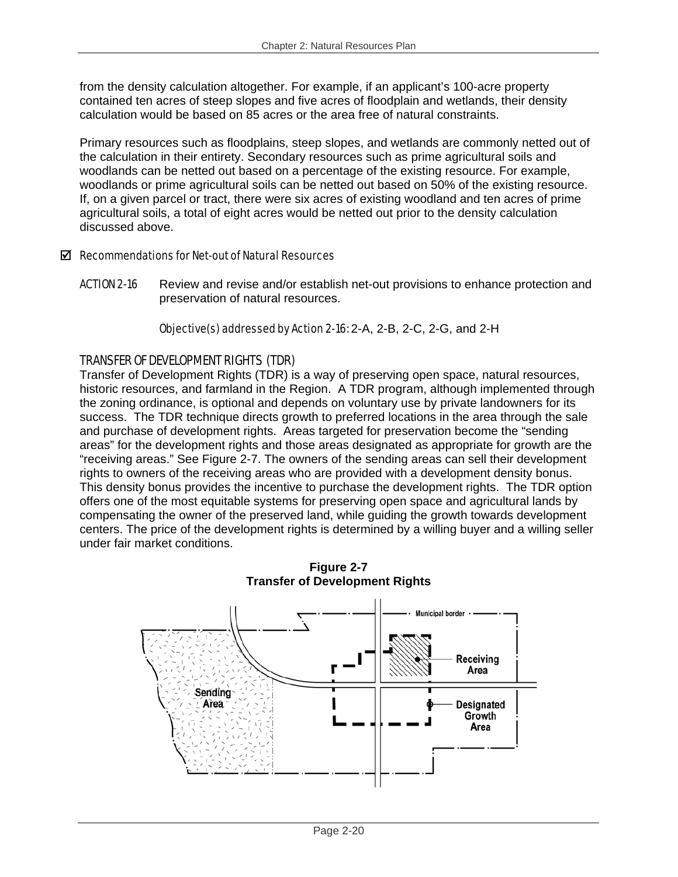from the density calculation altogether. For example, if an applicant's 100-acre property contained ten acres of steep slopes and five acres of floodplain and wetlands, their density calculation would be based on 85 acres or the area free of natural constraints.

Primary resources such as floodplains, steep slopes, and wetlands are commonly netted out of the calculation in their entirety. Secondary resources such as prime agricultural soils and woodlands can be netted out based on a percentage of the existing resource. For example, woodlands or prime agricultural soils can be netted out based on 50% of the existing resource. If, on a given parcel or tract, there were six acres of existing woodland and ten acres of prime agricultural soils, a total of eight acres would be netted out prior to the density calculation discussed above.

# $\boxtimes$  Recommendations for Net-out of Natural Resources

**ACTION 2-16** Review and revise and/or establish net-out provisions to enhance protection and preservation of natural resources.

Objective(s) addressed by Action 2-16: 2-A, 2-B, 2-C, 2-G, and 2-H

# TRANSFER OF DEVELOPMENT RIGHTS (TDR)

Transfer of Development Rights (TDR) is a way of preserving open space, natural resources, historic resources, and farmland in the Region. A TDR program, although implemented through the zoning ordinance, is optional and depends on voluntary use by private landowners for its success. The TDR technique directs growth to preferred locations in the area through the sale and purchase of development rights. Areas targeted for preservation become the "sending areas" for the development rights and those areas designated as appropriate for growth are the "receiving areas." See Figure 2-7. The owners of the sending areas can sell their development rights to owners of the receiving areas who are provided with a development density bonus. This density bonus provides the incentive to purchase the development rights. The TDR option offers one of the most equitable systems for preserving open space and agricultural lands by compensating the owner of the preserved land, while guiding the growth towards development centers. The price of the development rights is determined by a willing buyer and a willing seller under fair market conditions.



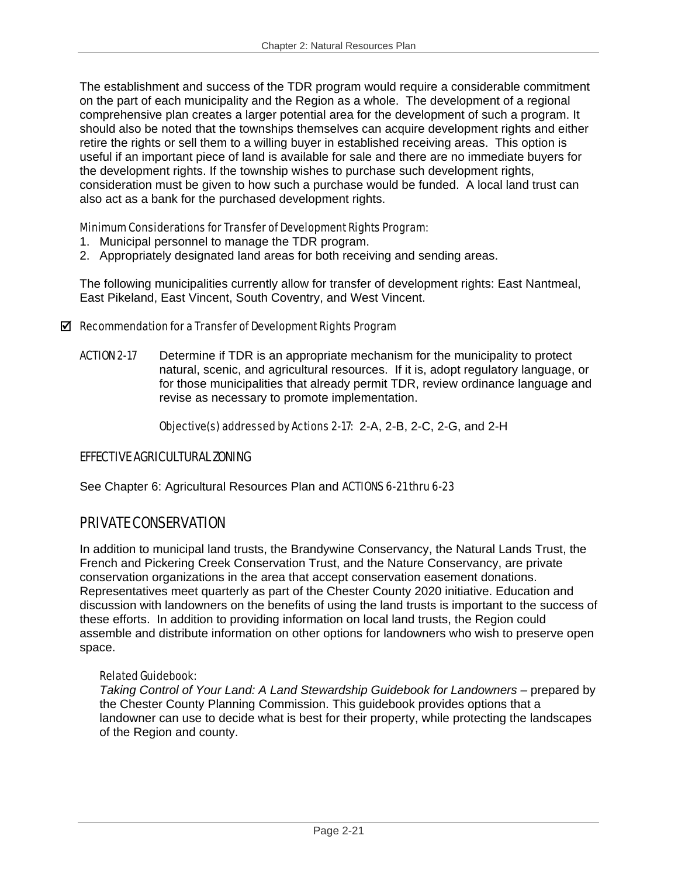The establishment and success of the TDR program would require a considerable commitment on the part of each municipality and the Region as a whole. The development of a regional comprehensive plan creates a larger potential area for the development of such a program. It should also be noted that the townships themselves can acquire development rights and either retire the rights or sell them to a willing buyer in established receiving areas. This option is useful if an important piece of land is available for sale and there are no immediate buyers for the development rights. If the township wishes to purchase such development rights, consideration must be given to how such a purchase would be funded. A local land trust can also act as a bank for the purchased development rights.

# Minimum Considerations for Transfer of Development Rights Program:

- 1. Municipal personnel to manage the TDR program.
- 2. Appropriately designated land areas for both receiving and sending areas.

The following municipalities currently allow for transfer of development rights: East Nantmeal, East Pikeland, East Vincent, South Coventry, and West Vincent.

# $\boxtimes$  Recommendation for a Transfer of Development Rights Program

**ACTION 2-17** Determine if TDR is an appropriate mechanism for the municipality to protect natural, scenic, and agricultural resources. If it is, adopt regulatory language, or for those municipalities that already permit TDR, review ordinance language and revise as necessary to promote implementation.

Objective(s) addressed by Actions 2-17: 2-A, 2-B, 2-C, 2-G, and 2-H

# EFFECTIVE AGRICULTURAL ZONING

See Chapter 6: Agricultural Resources Plan and **ACTIONS 6-21 thru 6-23** 

# PRIVATE CONSERVATION

In addition to municipal land trusts, the Brandywine Conservancy, the Natural Lands Trust, the French and Pickering Creek Conservation Trust, and the Nature Conservancy, are private conservation organizations in the area that accept conservation easement donations. Representatives meet quarterly as part of the Chester County 2020 initiative. Education and discussion with landowners on the benefits of using the land trusts is important to the success of these efforts. In addition to providing information on local land trusts, the Region could assemble and distribute information on other options for landowners who wish to preserve open space.

# Related Guidebook:

*Taking Control of Your Land: A Land Stewardship Guidebook for Landowners – prepared by* the Chester County Planning Commission. This guidebook provides options that a landowner can use to decide what is best for their property, while protecting the landscapes of the Region and county.